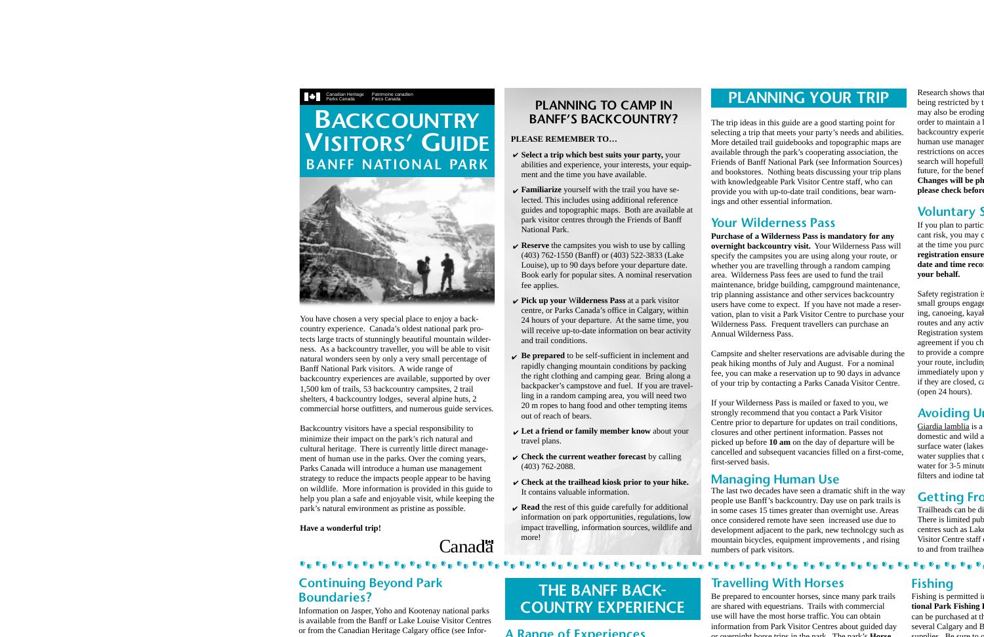# **BACKCOUNTRY VISITORS' GUIDE BANFF NATIONAL PARK**

Canadian Heritage Patrimoine canadien

Parcs Canada

Parks Canada



You have chosen a very special place to enjoy a backcountry experience. Canada's oldest national park protects large tracts of stunningly beautiful mountain wilderness. As a backcountry traveller, you will be able to visit natural wonders seen by only a very small percentage of Banff National Park visitors. A wide range of backcountry experiences are available, supported by over 1,500 km of trails, 53 backcountry campsites, 2 trail shelters, 4 backcountry lodges, several alpine huts, 2 commercial horse outfitters, and numerous guide services.

Backcountry visitors have a special responsibility to minimize their impact on the park's rich natural and cultural heritage. There is currently little direct management of human use in the parks. Over the coming years, Parks Canada will introduce a human use management strategy to reduce the impacts people appear to be having on wildlife. More information is provided in this guide to help you plan a safe and enjoyable visit, while keeping the park's natural environment as pristine as possible.

#### **Have a wonderful trip!**

# Canada<sup>r</sup>i

#### **PLANNING TO CAMP INBANFF'S BACKCOUNTRY?**

#### **PLEASE REMEMBER TO…**

- $\checkmark$  Select a trip which best suits your party, your abilities and experience, your interests, your equipment and the time you have available.
- **Familiarize** yourself with the trail you have selected. This includes using additional reference guides and topographic maps. Both are available at park visitor centres through the Friends of Banff National Park.
- **Reserve** the campsites you wish to use by calling (403) 762-1550 (Banff) or (403) 522-3833 (Lake Louise), up to 90 days before your departure date. Book early for popular sites. A nominal reservation fee applies.
- **Pick up your** W**ilderness Pass** at a park visitor centre, or Parks Canada's office in Calgary, within 24 hours of your departure. At the same time, you will receive up-to-date information on bear activity and trail conditions.
- $\triangleright$  **Be prepared** to be self-sufficient in inclement and rapidly changing mountain conditions by packing the right clothing and camping gear. Bring along a backpacker's campstove and fuel. If you are travelling in a random camping area, you will need two 20 m ropes to hang food and other tempting items out of reach of bears.
- **Let a friend or family member know** about your travel plans.
- $\checkmark$  Check the current weather forecast by calling (403) 762-2088.
- **Check at the trailhead kiosk prior to your hike.** It contains valuable information.
- $\mathbf{\triangledown}$  **Read** the rest of this guide carefully for additional information on park opportunities, regulations, low impact travelling, information sources, wildlife and more!

# **PLANNING YOUR TRIP**

The trip ideas in this guide are a good starting point for selecting a trip that meets your party's needs and abilities. More detailed trail guidebooks and topographic maps are available through the park's cooperating association, the Friends of Banff National Park (see Information Sources) and bookstores. Nothing beats discussing your trip plans with knowledgeable Park Visitor Centre staff, who can provide you with up-to-date trail conditions, bear warnings and other essential information.

## **Your Wilderness Pass**

**Purchase of a Wilderness Pass is mandatory for any overnight backcountry visit.** Your Wilderness Pass will specify the campsites you are using along your route, or whether you are travelling through a random camping area. Wilderness Pass fees are used to fund the trail maintenance, bridge building, campground maintenance, trip planning assistance and other services backcountry users have come to expect. If you have not made a reservation, plan to visit a Park Visitor Centre to purchase your Wilderness Pass. Frequent travellers can purchase an Annual Wilderness Pass.

Campsite and shelter reservations are advisable during the peak hiking months of July and August. For a nominal fee, you can make a reservation up to 90 days in advance of your trip by contacting a Parks Canada Visitor Centre.

If your Wilderness Pass is mailed or faxed to you, we strongly recommend that you contact a Park Visitor Centre prior to departure for updates on trail conditions, closures and other pertinent information. Passes not picked up before **10 am** on the day of departure will be cancelled and subsequent vacancies filled on a first-come, first-served basis.

#### **Managing Human Use**

The last two decades have seen a dramatic shift in the way people use Banff's backcountry. Day use on park trails is in some cases 15 times greater than overnight use. Areas once considered remote have seen increased use due to development adjacent to the park, new technolcgy such as mountain bicycles, equipment improvements , and rising numbers of park visitors.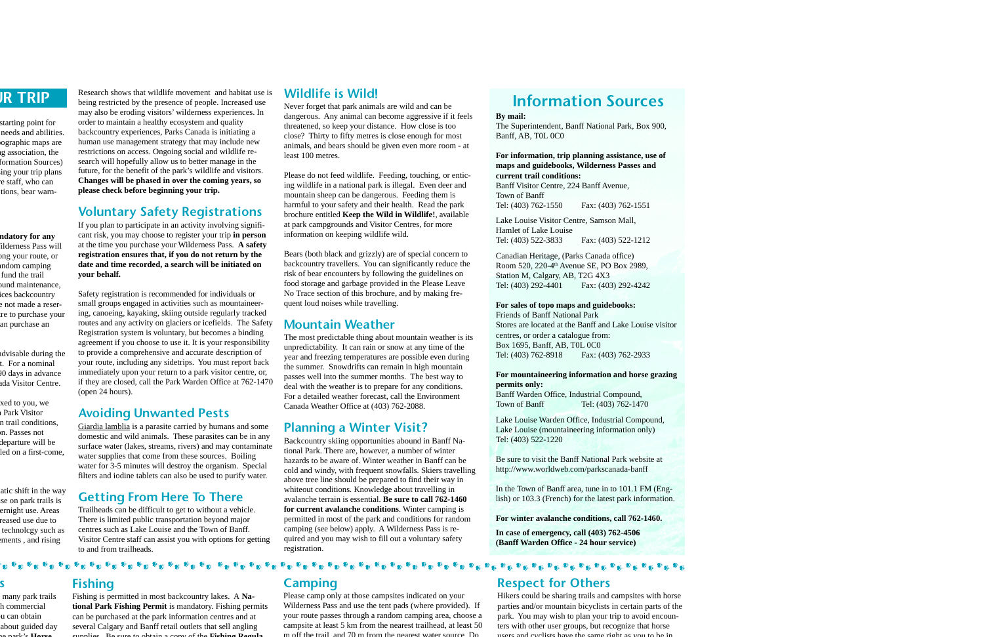Research shows that wildlife movement and habitat use isbeing restricted by the presence of people. Increased use may also be eroding visitors' wilderness experiences. In order to maintain a healthy ecosystem and quality backcountry experiences, Parks Canada is initiating a human use management strategy that may include new restrictions on access. Ongoing social and wildlife research will hopefully allow us to better manage in the future, for the benefit of the park's wildlife and visitors. **Changes will be phased in over the coming years, so please check before beginning your trip.**

## **Voluntary Safety Registrations**

If you plan to participate in an activity involving significant risk, you may choose to register your trip **in person** at the time you purchase your Wilderness Pass. **A safety registration ensures that, if you do not return by the date and time recorded, a search will be initiated on your behalf.**

Safety registration is recommended for individuals or small groups engaged in activities such as mountaineering, canoeing, kayaking, skiing outside regularly tracked routes and any activity on glaciers or icefields. The Safety Registration system is voluntary, but becomes a binding agreement if you choose to use it. It is your responsibility to provide a comprehensive and accurate description of your route, including any sidetrips. You must report back immediately upon your return to a park visitor centre, or, if they are closed, call the Park Warden Office at 762-1470 (open 24 hours).

#### **Avoiding Unwanted Pests**

Giardia lamblia is a parasite carried by humans and some domestic and wild animals. These parasites can be in any surface water (lakes, streams, rivers) and may contaminate water supplies that come from these sources. Boiling water for 3-5 minutes will destroy the organism. Special filters and iodine tablets can also be used to purify water.

## **Getting From Here To There**

Trailheads can be difficult to get to without a vehicle. There is limited public transportation beyond major centres such as Lake Louise and the Town of Banff. Visitor Centre staff can assist you with options for getting to and from trailheads.

#### **Wildlife is Wild!**

Never forget that park animals are wild and can be dangerous. Any animal can become aggressive if it feels threatened, so keep your distance. How close is too close? Thirty to fifty metres is close enough for most animals, and bears should be given even more room - at least 100 metres.

Please do not feed wildlife. Feeding, touching, or enticing wildlife in a national park is illegal. Even deer and mountain sheep can be dangerous. Feeding them is harmful to your safety and their health. Read the park brochure entitled **Keep the Wild in Wildlife!**, available at park campgrounds and Visitor Centres, for more information on keeping wildlife wild.

Bears (both black and grizzly) are of special concern to backcountry travellers. You can significantly reduce the risk of bear encounters by following the guidelines on food storage and garbage provided in the Please Leave No Trace section of this brochure, and by making frequent loud noises while travelling.

#### **Mountain Weather**

The most predictable thing about mountain weather is its unpredictability. It can rain or snow at any time of the year and freezing temperatures are possible even during the summer. Snowdrifts can remain in high mountain passes well into the summer months. The best way to deal with the weather is to prepare for any conditions. For a detailed weather forecast, call the Environment Canada Weather Office at (403) 762-2088.

#### **Planning a Winter Visit?**

Backcountry skiing opportunities abound in Banff National Park. There are, however, a number of winter hazards to be aware of. Winter weather in Banff can becold and windy, with frequent snowfalls. Skiers travelling above tree line should be prepared to find their way in whiteout conditions. Knowledge about travelling in avalanche terrain is essential. **Be sure to call 762-1460for current avalanche conditions**. Winter camping is permitted in most of the park and conditions for random camping (see below) apply. A Wilderness Pass is required and you may wish to fill out a voluntary safety registration.

# **Information Sources**

#### **By mail:**

The Superintendent, Banff National Park, Box 900, Banff, AB, T0L 0C0

#### **For information, trip planning assistance, use of maps and guidebooks, Wilderness Passes and current trail conditions:**

Banff Visitor Centre, 224 Banff Avenue, Town of BanffTel: (403) 762-1550 Fax: (403) 762-1551

Lake Louise Visitor Centre, Samson Mall, Hamlet of Lake LouiseTel: (403) 522-3833 Fax: (403) 522-1212

Canadian Heritage, (Parks Canada office) Room 520, 220-4<sup>th</sup> Avenue SE, PO Box 2989, Station M, Calgary, AB, T2G 4X3 Tel: (403) 292-4401 Fax: (403) 292-4242

#### **For sales of topo maps and guidebooks:**

Friends of Banff National ParkStores are located at the Banff and Lake Louise visitorcentres, or order a catalogue from: Box 1695, Banff, AB, T0L 0C0 Tel: (403) 762-8918 Fax: (403) 762-2933

#### **For mountaineering information and horse grazing permits only:**

Banff Warden Office, Industrial Compound, Town of Banff Tel: (403) 762-1470

Lake Louise Warden Office, Industrial Compound, Lake Louise (mountaineering information only) Tel: (403) 522-1220

Be sure to visit the Banff National Park website at http://www.worldweb.com/parkscanada-banff

In the Town of Banff area, tune in to 101.1 FM (English) or 103.3 (French) for the latest park information.

#### **For winter avalanche conditions, call 762-1460.**

**In case of emergency, call (403) 762-4506 (Banff Warden Office - 24 hour service)**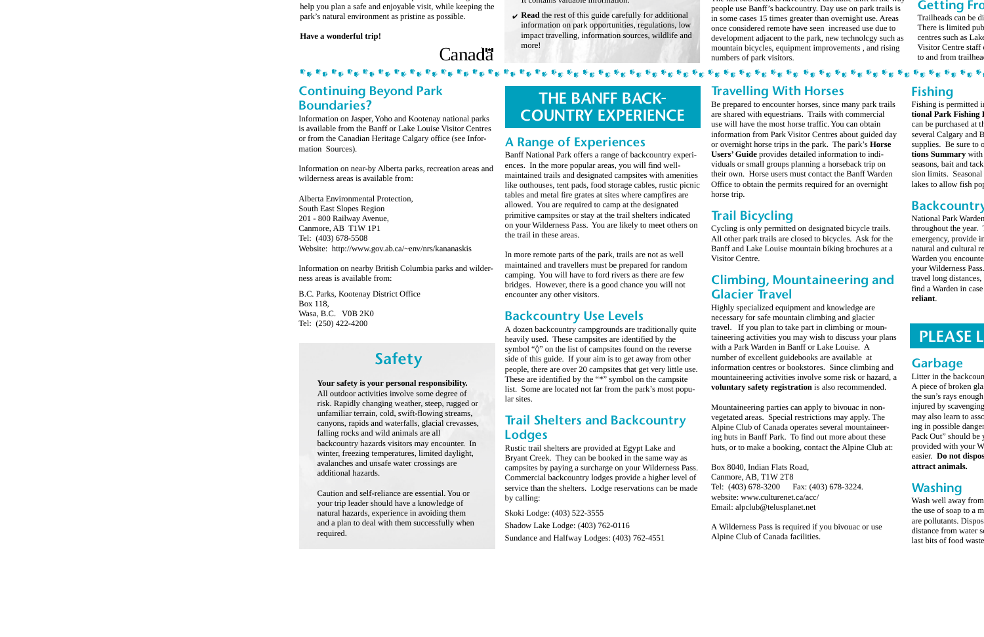#### **Continuing Beyond Park Boundaries?**

Information on Jasper, Yoho and Kootenay national parks is available from the Banff or Lake Louise Visitor Centresor from the Canadian Heritage Calgary office (see Information Sources).

Information on near-by Alberta parks, recreation areas and wilderness areas is available from:

Alberta Environmental Protection, South East Slopes Region 201 - 800 Railway Avenue, Canmore, AB T1W 1P1 Tel: (403) 678-5508 Website: http://www.gov.ab.ca/~env/nrs/kananaskis

Information on nearby British Columbia parks and wilderness areas is available from:

B.C. Parks, Kootenay District Office Box 118, Wasa, B.C. V0B 2K0 Tel: (250) 422-4200

# **Safety**

**Your safety is your personal responsibility.** All outdoor activities involve some degree of risk. Rapidly changing weather, steep, rugged or unfamiliar terrain, cold, swift-flowing streams, canyons, rapids and waterfalls, glacial crevasses, falling rocks and wild animals are all backcountry hazards visitors may encounter. In winter, freezing temperatures, limited daylight, avalanches and unsafe water crossings are additional hazards.

Caution and self-reliance are essential. You oryour trip leader should have a knowledge of natural hazards, experience in avoiding them and a plan to deal with them successfully when required.

# **THE BANFF BACK-COUNTRY EXPERIENCE**

#### **A Range of Experiences**

Banff National Park offers a range of backcountry experiences. In the more popular areas, you will find wellmaintained trails and designated campsites with amenities like outhouses, tent pads, food storage cables, rustic picnic tables and metal fire grates at sites where campfires are allowed. You are required to camp at the designated primitive campsites or stay at the trail shelters indicated on your Wilderness Pass. You are likely to meet others on the trail in these areas.

In more remote parts of the park, trails are not as well maintained and travellers must be prepared for random camping. You will have to ford rivers as there are few bridges. However, there is a good chance you will not encounter any other visitors.

#### **Backcountry Use Levels**

A dozen backcountry campgrounds are traditionally quite heavily used. These campsites are identified by the symbol "◊" on the list of campsites found on the reverse side of this guide. If your aim is to get away from other people, there are over 20 campsites that get very little use. These are identified by the "\*" symbol on the campsite list. Some are located not far from the park's most popular sites.

#### **Trail Shelters and Backcountry Lodges**

Rustic trail shelters are provided at Egypt Lake and Bryant Creek. They can be booked in the same way as campsites by paying a surcharge on your Wilderness Pass. Commercial backcountry lodges provide a higher level of service than the shelters. Lodge reservations can be made by calling:

Skoki Lodge: (403) 522-3555 Shadow Lake Lodge: (403) 762-0116 Sundance and Halfway Lodges: (403) 762-4551

### **Travelling With Horses**

Be prepared to encounter horses, since many park trails are shared with equestrians. Trails with commercial use will have the most horse traffic. You can obtaininformation from Park Visitor Centres about guided day or overnight horse trips in the park. The park's **Horse Users' Guide** provides detailed information to individuals or small groups planning a horseback trip on their own. Horse users must contact the Banff Warden Office to obtain the permits required for an overnight horse trip.

# **Trail Bicycling**

Cycling is only permitted on designated bicycle trails. All other park trails are closed to bicycles. Ask for the Banff and Lake Louise mountain biking brochures at a Visitor Centre.

## **Climbing, Mountaineering and Glacier Travel**

Highly specialized equipment and knowledge are necessary for safe mountain climbing and glacier travel. If you plan to take part in climbing or mountaineering activities you may wish to discuss your plans with a Park Warden in Banff or Lake Louise. Anumber of excellent guidebooks are available at information centres or bookstores. Since climbing and mountaineering activities involve some risk or hazard, a **voluntary safety registration** is also recommended.

Mountaineering parties can apply to bivouac in nonvegetated areas. Special restrictions may apply. The Alpine Club of Canada operates several mountaineering huts in Banff Park. To find out more about these huts, or to make a booking, contact the Alpine Club at:

Box 8040, Indian Flats Road, Canmore, AB, T1W 2T8 Tel: (403) 678-3200 Fax: (403) 678-3224. website: www.culturenet.ca/acc/Email: alpclub@telusplanet.net

A Wilderness Pass is required if you bivouac or use Alpine Club of Canada facilities.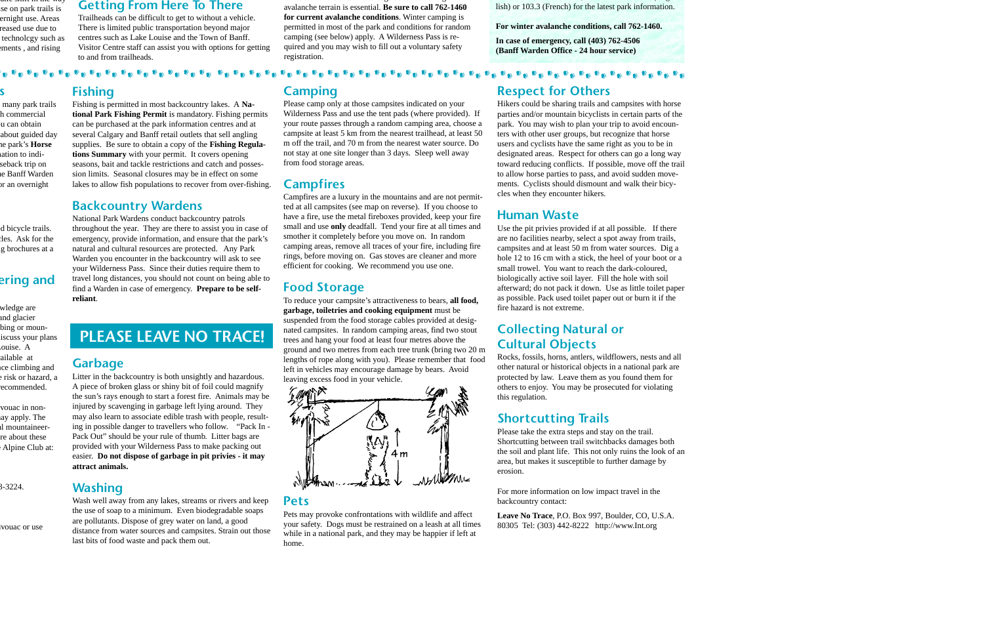## **Fishing**

Fishing is permitted in most backcountry lakes. A **National Park Fishing Permit** is mandatory. Fishing permits can be purchased at the park information centres and at several Calgary and Banff retail outlets that sell angling supplies. Be sure to obtain a copy of the **Fishing Regulations Summary** with your permit. It covers opening seasons, bait and tackle restrictions and catch and possession limits. Seasonal closures may be in effect on some lakes to allow fish populations to recover from over-fishing.

#### **Backcountry Wardens**

National Park Wardens conduct backcountry patrols throughout the year. They are there to assist you in case of emergency, provide information, and ensure that the park's natural and cultural resources are protected. Any Park Warden you encounter in the backcountry will ask to see your Wilderness Pass. Since their duties require them to travel long distances, you should not count on being able to find a Warden in case of emergency. **Prepare to be selfreliant**.

# **PLEASE LEAVE NO TRACE!**

#### **Garbage**

Litter in the backcountry is both unsightly and hazardous. A piece of broken glass or shiny bit of foil could magnify the sun's rays enough to start a forest fire. Animals may be injured by scavenging in garbage left lying around. They may also learn to associate edible trash with people, resulting in possible danger to travellers who follow. "Pack In - Pack Out" should be your rule of thumb. Litter bags are provided with your Wilderness Pass to make packing out easier. **Do not dispose of garbage in pit privies - it may attract animals.**

## **Washing**

Wash well away from any lakes, streams or rivers and keep the use of soap to a minimum. Even biodegradable soaps are pollutants. Dispose of grey water on land, a good distance from water sources and campsites. Strain out those last bits of food waste and pack them out.

### **Camping**

Please camp only at those campsites indicated on your Wilderness Pass and use the tent pads (where provided). If your route passes through a random camping area, choose a campsite at least 5 km from the nearest trailhead, at least 50 m off the trail, and 70 m from the nearest water source. Do not stay at one site longer than 3 days. Sleep well away from food storage areas.

#### **Campfires**

Campfires are a luxury in the mountains and are not permitted at all campsites (see map on reverse). If you choose to have a fire, use the metal fireboxes provided, keep your fire small and use **only** deadfall. Tend your fire at all times and smother it completely before you move on. In random camping areas, remove all traces of your fire, including fire rings, before moving on. Gas stoves are cleaner and more efficient for cooking. We recommend you use one.

## **Food Storage**

To reduce your campsite's attractiveness to bears, **all food, garbage, toiletries and cooking equipment** must be suspended from the food storage cables provided at designated campsites. In random camping areas, find two stout trees and hang your food at least four metres above the ground and two metres from each tree trunk (bring two 20 m lengths of rope along with you). Please remember that food left in vehicles may encourage damage by bears. Avoid leaving excess food in your vehicle.



#### **Pets**

Pets may provoke confrontations with wildlife and affect your safety. Dogs must be restrained on a leash at all times while in a national park, and they may be happier if left at home.

#### **Respect for Others**

Hikers could be sharing trails and campsites with horse parties and/or mountain bicyclists in certain parts of the park. You may wish to plan your trip to avoid encounters with other user groups, but recognize that horse users and cyclists have the same right as you to be in designated areas. Respect for others can go a long way toward reducing conflicts. If possible, move off the trail to allow horse parties to pass, and avoid sudden movements. Cyclists should dismount and walk their bicycles when they encounter hikers.

在 第五 第五 第五 第五 第五 第五 第五

## **Human Waste**

Use the pit privies provided if at all possible. If there are no facilities nearby, select a spot away from trails, campsites and at least 50 m from water sources. Dig a hole 12 to 16 cm with a stick, the heel of your boot or a small trowel. You want to reach the dark-coloured, biologically active soil layer. Fill the hole with soil afterward; do not pack it down. Use as little toilet paper as possible. Pack used toilet paper out or burn it if the fire hazard is not extreme.

#### **Collecting Natural or Cultural Objects**

Rocks, fossils, horns, antlers, wildflowers, nests and all other natural or historical objects in a national park are protected by law. Leave them as you found them for others to enjoy. You may be prosecuted for violating this regulation.

# **Shortcutting Trails**

Please take the extra steps and stay on the trail. Shortcutting between trail switchbacks damages both the soil and plant life. This not only ruins the look of an area, but makes it susceptible to further damage by erosion.

For more information on low impact travel in the backcountry contact:

**Leave No Trace**, P.O. Box 997, Boulder, CO, U.S.A. 80305 Tel: (303) 442-8222 http://www.Int.org